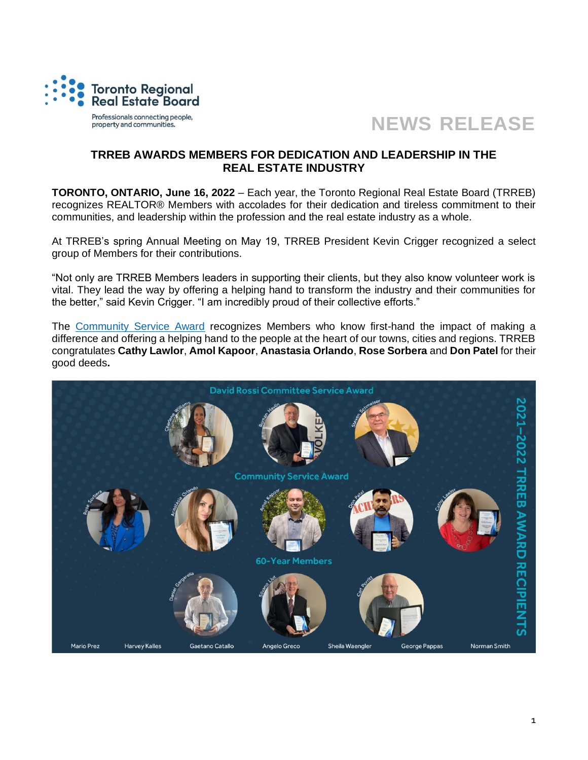



## **TRREB AWARDS MEMBERS FOR DEDICATION AND LEADERSHIP IN THE REAL ESTATE INDUSTRY**

**TORONTO, ONTARIO, June 16, 2022** – Each year, the Toronto Regional Real Estate Board (TRREB) recognizes REALTOR® Members with accolades for their dedication and tireless commitment to their communities, and leadership within the profession and the real estate industry as a whole.

At TRREB's spring Annual Meeting on May 19, TRREB President Kevin Crigger recognized a select group of Members for their contributions.

"Not only are TRREB Members leaders in supporting their clients, but they also know volunteer work is vital. They lead the way by offering a helping hand to transform the industry and their communities for the better," said Kevin Crigger. "I am incredibly proud of their collective efforts."

The [Community Service Award](https://www.trrebwire.ca/index.php/2022/06/14/awarding-leadership-in-the-community/) recognizes Members who know first-hand the impact of making a difference and offering a helping hand to the people at the heart of our towns, cities and regions. TRREB congratulates **Cathy Lawlor**, **Amol Kapoor**, **Anastasia Orlando**, **Rose Sorbera** and **Don Patel** for their good deeds**.**